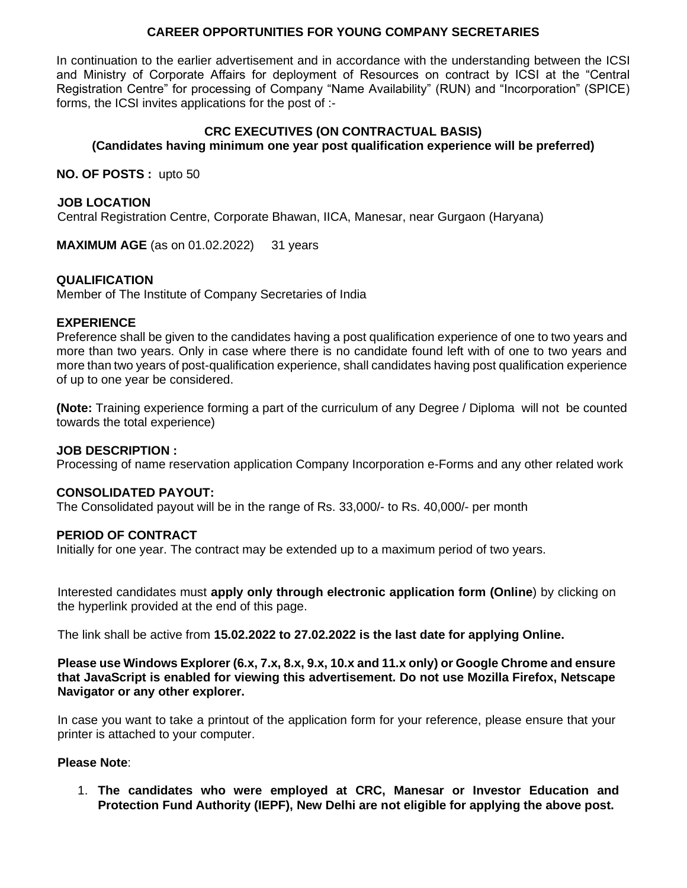## **CAREER OPPORTUNITIES FOR YOUNG COMPANY SECRETARIES**

In continuation to the earlier advertisement and in accordance with the understanding between the ICSI and Ministry of Corporate Affairs for deployment of Resources on contract by ICSI at the "Central Registration Centre" for processing of Company "Name Availability" (RUN) and "Incorporation" (SPICE) forms, the ICSI invites applications for the post of :-

#### **CRC EXECUTIVES (ON CONTRACTUAL BASIS) (Candidates having minimum one year post qualification experience will be preferred)**

**NO. OF POSTS :** upto 50

#### **JOB LOCATION**

Central Registration Centre, Corporate Bhawan, IICA, Manesar, near Gurgaon (Haryana)

**MAXIMUM AGE** (as on 01.02.2022) 31 years

#### **QUALIFICATION**

Member of The Institute of Company Secretaries of India

#### **EXPERIENCE**

Preference shall be given to the candidates having a post qualification experience of one to two years and more than two years. Only in case where there is no candidate found left with of one to two years and more than two years of post-qualification experience, shall candidates having post qualification experience of up to one year be considered.

**(Note:** Training experience forming a part of the curriculum of any Degree / Diploma will not be counted towards the total experience)

#### **JOB DESCRIPTION :**

Processing of name reservation application Company Incorporation e-Forms and any other related work

#### **CONSOLIDATED PAYOUT:**

The Consolidated payout will be in the range of Rs. 33,000/- to Rs. 40,000/- per month

#### **PERIOD OF CONTRACT**

Initially for one year. The contract may be extended up to a maximum period of two years.

Interested candidates must **apply only through electronic application form (Online**) by clicking on the hyperlink provided at the end of this page.

The link shall be active from **15.02.2022 to 27.02.2022 is the last date for applying Online.**

**Please use Windows Explorer (6.x, 7.x, 8.x, 9.x, 10.x and 11.x only) or Google Chrome and ensure that JavaScript is enabled for viewing this advertisement. Do not use Mozilla Firefox, Netscape Navigator or any other explorer.** 

In case you want to take a printout of the application form for your reference, please ensure that your printer is attached to your computer.

#### **Please Note**:

1. **The candidates who were employed at CRC, Manesar or Investor Education and Protection Fund Authority (IEPF), New Delhi are not eligible for applying the above post.**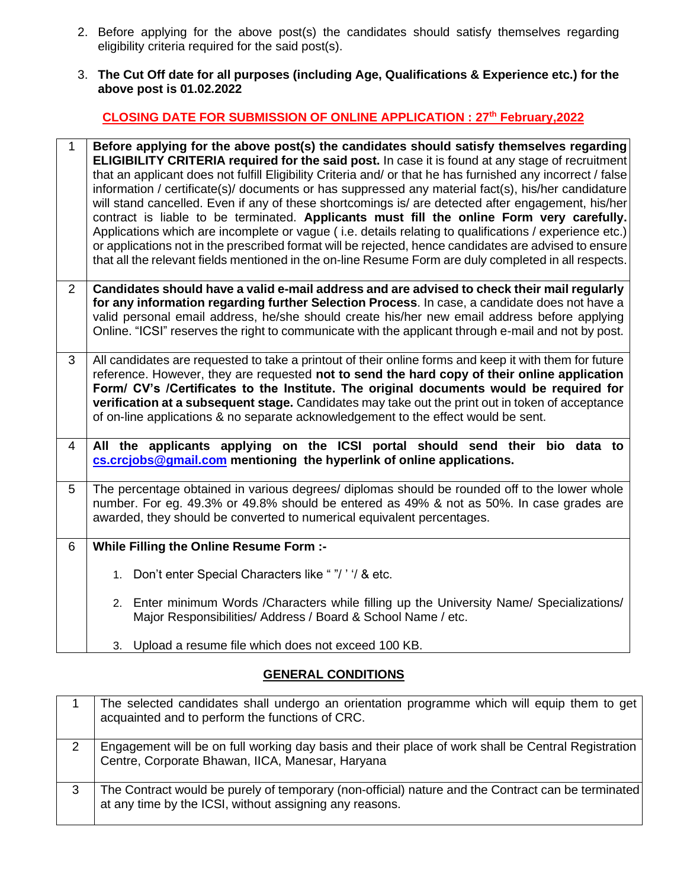- 2. Before applying for the above post(s) the candidates should satisfy themselves regarding eligibility criteria required for the said post(s).
- 3. **The Cut Off date for all purposes (including Age, Qualifications & Experience etc.) for the above post is 01.02.2022**

# **CLOSING DATE FOR SUBMISSION OF ONLINE APPLICATION : 27 th February,2022**

| $\mathbf{1}$   | Before applying for the above post(s) the candidates should satisfy themselves regarding<br><b>ELIGIBILITY CRITERIA required for the said post.</b> In case it is found at any stage of recruitment<br>that an applicant does not fulfill Eligibility Criteria and/ or that he has furnished any incorrect / false<br>information / certificate(s)/ documents or has suppressed any material fact(s), his/her candidature<br>will stand cancelled. Even if any of these shortcomings is/ are detected after engagement, his/her<br>contract is liable to be terminated. Applicants must fill the online Form very carefully.<br>Applications which are incomplete or vague (i.e. details relating to qualifications / experience etc.)<br>or applications not in the prescribed format will be rejected, hence candidates are advised to ensure<br>that all the relevant fields mentioned in the on-line Resume Form are duly completed in all respects. |
|----------------|----------------------------------------------------------------------------------------------------------------------------------------------------------------------------------------------------------------------------------------------------------------------------------------------------------------------------------------------------------------------------------------------------------------------------------------------------------------------------------------------------------------------------------------------------------------------------------------------------------------------------------------------------------------------------------------------------------------------------------------------------------------------------------------------------------------------------------------------------------------------------------------------------------------------------------------------------------|
| $\overline{2}$ | Candidates should have a valid e-mail address and are advised to check their mail regularly<br>for any information regarding further Selection Process. In case, a candidate does not have a<br>valid personal email address, he/she should create his/her new email address before applying<br>Online. "ICSI" reserves the right to communicate with the applicant through e-mail and not by post.                                                                                                                                                                                                                                                                                                                                                                                                                                                                                                                                                      |
| 3              | All candidates are requested to take a printout of their online forms and keep it with them for future<br>reference. However, they are requested not to send the hard copy of their online application<br>Form/ CV's /Certificates to the Institute. The original documents would be required for<br>verification at a subsequent stage. Candidates may take out the print out in token of acceptance<br>of on-line applications & no separate acknowledgement to the effect would be sent.                                                                                                                                                                                                                                                                                                                                                                                                                                                              |
| 4              | All the applicants applying on the ICSI portal should send their bio data to<br>cs.crcjobs@gmail.com mentioning the hyperlink of online applications.                                                                                                                                                                                                                                                                                                                                                                                                                                                                                                                                                                                                                                                                                                                                                                                                    |
| 5              | The percentage obtained in various degrees/ diplomas should be rounded off to the lower whole<br>number. For eg. 49.3% or 49.8% should be entered as 49% & not as 50%. In case grades are<br>awarded, they should be converted to numerical equivalent percentages.                                                                                                                                                                                                                                                                                                                                                                                                                                                                                                                                                                                                                                                                                      |
| 6              | While Filling the Online Resume Form :-                                                                                                                                                                                                                                                                                                                                                                                                                                                                                                                                                                                                                                                                                                                                                                                                                                                                                                                  |
|                | 1. Don't enter Special Characters like ""/" / & etc.                                                                                                                                                                                                                                                                                                                                                                                                                                                                                                                                                                                                                                                                                                                                                                                                                                                                                                     |
|                | 2. Enter minimum Words / Characters while filling up the University Name/ Specializations/<br>Major Responsibilities/ Address / Board & School Name / etc.                                                                                                                                                                                                                                                                                                                                                                                                                                                                                                                                                                                                                                                                                                                                                                                               |
|                | 3. Upload a resume file which does not exceed 100 KB.                                                                                                                                                                                                                                                                                                                                                                                                                                                                                                                                                                                                                                                                                                                                                                                                                                                                                                    |

# **GENERAL CONDITIONS**

|   | The selected candidates shall undergo an orientation programme which will equip them to get<br>acquainted and to perform the functions of CRC.                |
|---|---------------------------------------------------------------------------------------------------------------------------------------------------------------|
|   | Engagement will be on full working day basis and their place of work shall be Central Registration<br>Centre, Corporate Bhawan, IICA, Manesar, Haryana        |
| 3 | The Contract would be purely of temporary (non-official) nature and the Contract can be terminated<br>at any time by the ICSI, without assigning any reasons. |